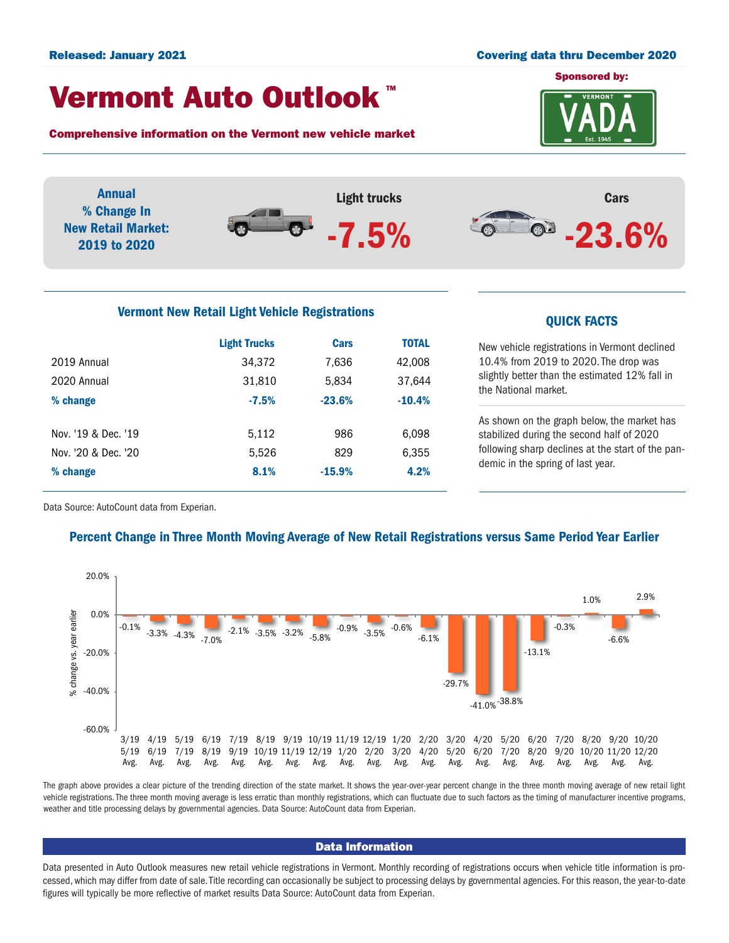### Released: January 2021 Covering data thru December 2020

demic in the spring of last year.

## Vermont Auto Outlook TM

Comprehensive information on the Vermont new vehicle market

% change 8.1% -15.9% 4.2%





Data Source: AutoCount data from Experian.

## Percent Change in Three Month Moving Average of New Retail Registrations versus Same Period Year Earlier



The graph above provides a clear picture of the trending direction of the state market. It shows the year-over-year percent change in the three month moving average of new retail light vehicle registrations. The three month moving average is less erratic than monthly registrations, which can fluctuate due to such factors as the timing of manufacturer incentive programs, weather and title processing delays by governmental agencies. Data Source: AutoCount data from Experian.

### Data Information

Data presented in Auto Outlook measures new retail vehicle registrations in Vermont. Monthly recording of registrations occurs when vehicle title information is processed, which may differ from date of sale. Title recording can occasionally be subject to processing delays by governmental agencies. For this reason, the year-to-date figures will typically be more reflective of market results Data Source: AutoCount data from Experian.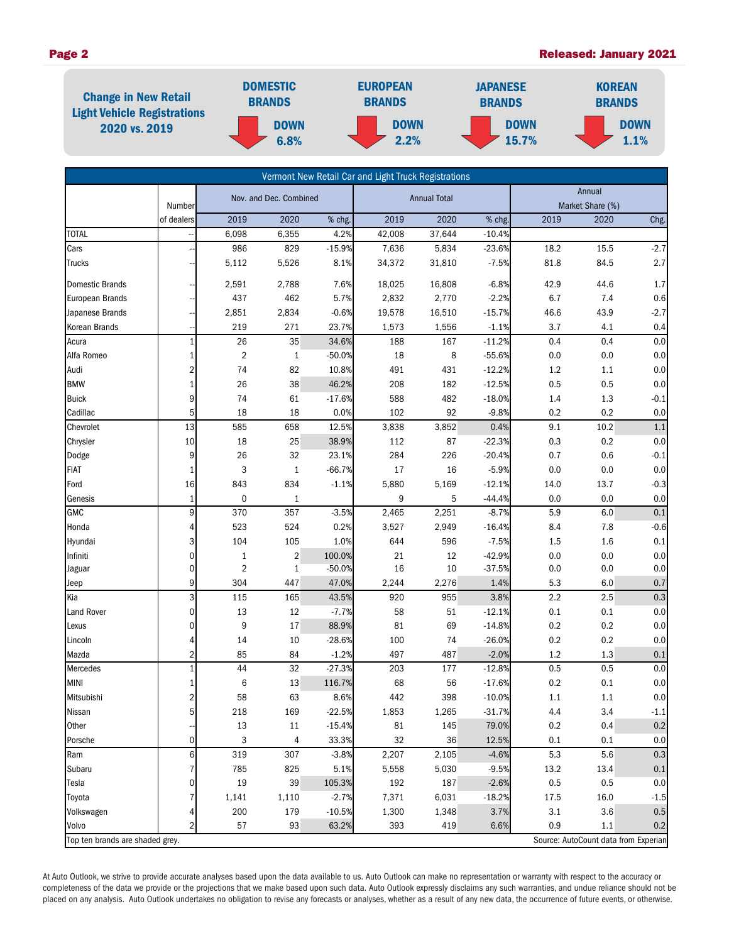## Page 2 **Page 2** Released: January 2021



|                                 |                         |                         |                |          | Vermont New Retail Car and Light Truck Registrations |        |          |                            |                                      |         |
|---------------------------------|-------------------------|-------------------------|----------------|----------|------------------------------------------------------|--------|----------|----------------------------|--------------------------------------|---------|
|                                 | Number                  | Nov. and Dec. Combined  |                |          | <b>Annual Total</b>                                  |        |          | Annual<br>Market Share (%) |                                      |         |
|                                 | of dealers              | 2019                    | 2020           | % chg.   | 2019                                                 | 2020   | % chg.   | 2019                       | 2020                                 | Chg.    |
| <b>TOTAL</b>                    |                         | 6,098                   | 6,355          | 4.2%     | 42,008                                               | 37,644 | $-10.4%$ |                            |                                      |         |
| Cars                            |                         | 986                     | 829            | $-15.9%$ | 7,636                                                | 5,834  | $-23.6%$ | 18.2                       | 15.5                                 | $-2.7$  |
| Trucks                          |                         | 5,112                   | 5,526          | 8.1%     | 34,372                                               | 31,810 | $-7.5%$  | 81.8                       | 84.5                                 | 2.7     |
| Domestic Brands                 |                         | 2,591                   | 2,788          | 7.6%     | 18,025                                               | 16,808 | $-6.8%$  | 42.9                       | 44.6                                 | 1.7     |
| European Brands                 |                         | 437                     | 462            | 5.7%     | 2,832                                                | 2,770  | $-2.2%$  | 6.7                        | 7.4                                  | 0.6     |
| Japanese Brands                 |                         | 2,851                   | 2,834          | $-0.6%$  | 19,578                                               | 16,510 | $-15.7%$ | 46.6                       | 43.9                                 | $-2.7$  |
| Korean Brands                   |                         | 219                     | 271            | 23.7%    | 1,573                                                | 1,556  | $-1.1%$  | 3.7                        | 4.1                                  | 0.4     |
| Acura                           | $\mathbf{1}$            | 26                      | $35\,$         | 34.6%    | 188                                                  | 167    | $-11.2%$ | 0.4                        | 0.4                                  | 0.0     |
| Alfa Romeo                      | $\mathbf{1}$            | $\overline{2}$          | $\mathbf{1}$   | $-50.0%$ | 18                                                   | 8      | $-55.6%$ | 0.0                        | 0.0                                  | 0.0     |
| Audi                            | $\overline{2}$          | 74                      | 82             | 10.8%    | 491                                                  | 431    | $-12.2%$ | $1.2\,$                    | 1.1                                  | 0.0     |
| <b>BMW</b>                      | $\mathbf{1}$            | 26                      | 38             | 46.2%    | 208                                                  | 182    | $-12.5%$ | 0.5                        | 0.5                                  | 0.0     |
| <b>Buick</b>                    | 9                       | 74                      | 61             | $-17.6%$ | 588                                                  | 482    | $-18.0%$ | 1.4                        | 1.3                                  | $-0.1$  |
| Cadillac                        | 5                       | 18                      | 18             | 0.0%     | 102                                                  | 92     | $-9.8%$  | 0.2                        | 0.2                                  | 0.0     |
| Chevrolet                       | 13                      | 585                     | 658            | 12.5%    | 3,838                                                | 3,852  | 0.4%     | 9.1                        | 10.2                                 | 1.1     |
| Chrysler                        | 10                      | 18                      | 25             | 38.9%    | 112                                                  | 87     | $-22.3%$ | 0.3                        | 0.2                                  | 0.0     |
| Dodge                           | 9                       | 26                      | 32             | 23.1%    | 284                                                  | 226    | $-20.4%$ | 0.7                        | 0.6                                  | $-0.1$  |
| <b>FIAT</b>                     | $\mathbf{1}$            | 3                       | $\mathbf{1}$   | $-66.7%$ | 17                                                   | 16     | $-5.9%$  | 0.0                        | 0.0                                  | 0.0     |
| Ford                            | 16                      | 843                     | 834            | $-1.1%$  | 5,880                                                | 5,169  | $-12.1%$ | 14.0                       | 13.7                                 | $-0.3$  |
| Genesis                         | $\mathbf{1}$            | $\pmb{0}$               | $\mathbf{1}$   |          | 9                                                    | 5      | $-44.4%$ | 0.0                        | 0.0                                  | 0.0     |
| GMC                             | 9                       | 370                     | 357            | $-3.5%$  | 2,465                                                | 2,251  | $-8.7%$  | 5.9                        | 6.0                                  | 0.1     |
| Honda                           | 4                       | 523                     | 524            | 0.2%     | 3,527                                                | 2,949  | $-16.4%$ | 8.4                        | 7.8                                  | $-0.6$  |
| Hyundai                         | 3                       | 104                     | 105            | 1.0%     | 644                                                  | 596    | $-7.5%$  | 1.5                        | 1.6                                  | 0.1     |
| Infiniti                        | $\mathbf 0$             | $\mathbf{1}$            | $\overline{2}$ | 100.0%   | 21                                                   | 12     | $-42.9%$ | 0.0                        | 0.0                                  | 0.0     |
| Jaguar                          | $\mathbf 0$             | $\overline{\mathbf{c}}$ | $\mathbf{1}$   | $-50.0%$ | 16                                                   | 10     | $-37.5%$ | 0.0                        | 0.0                                  | 0.0     |
| Jeep                            | $\overline{9}$          | 304                     | 447            | 47.0%    | 2,244                                                | 2,276  | 1.4%     | 5.3                        | 6.0                                  | 0.7     |
| Kia                             | 3                       | 115                     | 165            | 43.5%    | 920                                                  | 955    | 3.8%     | 2.2                        | 2.5                                  | 0.3     |
| Land Rover                      | $\mathbf 0$             | 13                      | 12             | $-7.7%$  | 58                                                   | 51     | $-12.1%$ | 0.1                        | 0.1                                  | 0.0     |
| Lexus                           | $\mathbf 0$             | 9                       | $17\,$         | 88.9%    | 81                                                   | 69     | $-14.8%$ | 0.2                        | 0.2                                  | $0.0\,$ |
| Lincoln                         | 4                       | 14                      | 10             | $-28.6%$ | 100                                                  | 74     | $-26.0%$ | 0.2                        | 0.2                                  | 0.0     |
| Mazda                           | $\overline{2}$          | 85                      | 84             | $-1.2%$  | 497                                                  | 487    | $-2.0%$  | 1.2                        | 1.3                                  | 0.1     |
| Mercedes                        | $\mathbf{1}$            | 44                      | 32             | $-27.3%$ | 203                                                  | 177    | $-12.8%$ | 0.5                        | 0.5                                  | 0.0     |
| <b>MINI</b>                     | $\mathbf{1}$            | 6                       | 13             | 116.7%   | 68                                                   | 56     | $-17.6%$ | 0.2                        | 0.1                                  | $0.0\,$ |
| Mitsubishi                      | $\overline{a}$          | 58                      | 63             | 8.6%     | 442                                                  | 398    | $-10.0%$ | 1.1                        | 1.1                                  | 0.0     |
| Nissan                          | 5                       | 218                     | 169            | $-22.5%$ | 1,853                                                | 1,265  | $-31.7%$ | 4.4                        | 3.4                                  | $-1.1$  |
| Other                           |                         | 13                      | $11\,$         | $-15.4%$ | 81                                                   | 145    | 79.0%    | $0.2\,$                    | 0.4                                  | $0.2\,$ |
| Porsche                         | $\overline{0}$          | 3                       | 4              | 33.3%    | 32                                                   | 36     | 12.5%    | 0.1                        | 0.1                                  | 0.0     |
| Ram                             | 6                       | 319                     | 307            | $-3.8%$  | 2,207                                                | 2,105  | $-4.6%$  | 5.3                        | 5.6                                  | $0.3\,$ |
| Subaru                          | 7                       | 785                     | 825            | 5.1%     | 5,558                                                | 5,030  | $-9.5%$  | 13.2                       | 13.4                                 | 0.1     |
| Tesla                           | 0                       | 19                      | 39             | 105.3%   | 192                                                  | 187    | $-2.6%$  | 0.5                        | 0.5                                  | $0.0\,$ |
| Toyota                          | 7                       | 1,141                   | 1,110          | $-2.7%$  | 7,371                                                | 6,031  | $-18.2%$ | 17.5                       | 16.0                                 | $-1.5$  |
| Volkswagen                      | 4                       | 200                     | 179            | $-10.5%$ | 1,300                                                | 1,348  | 3.7%     | 3.1                        | 3.6                                  | 0.5     |
| Volvo                           | $\overline{\mathbf{c}}$ | 57                      | 93             | 63.2%    | 393                                                  | 419    | 6.6%     | 0.9                        | 1.1                                  | 0.2     |
| Top ten brands are shaded grey. |                         |                         |                |          |                                                      |        |          |                            | Source: AutoCount data from Experian |         |

At Auto Outlook, we strive to provide accurate analyses based upon the data available to us. Auto Outlook can make no representation or warranty with respect to the accuracy or completeness of the data we provide or the projections that we make based upon such data. Auto Outlook expressly disclaims any such warranties, and undue reliance should not be placed on any analysis. Auto Outlook undertakes no obligation to revise any forecasts or analyses, whether as a result of any new data, the occurrence of future events, or otherwise.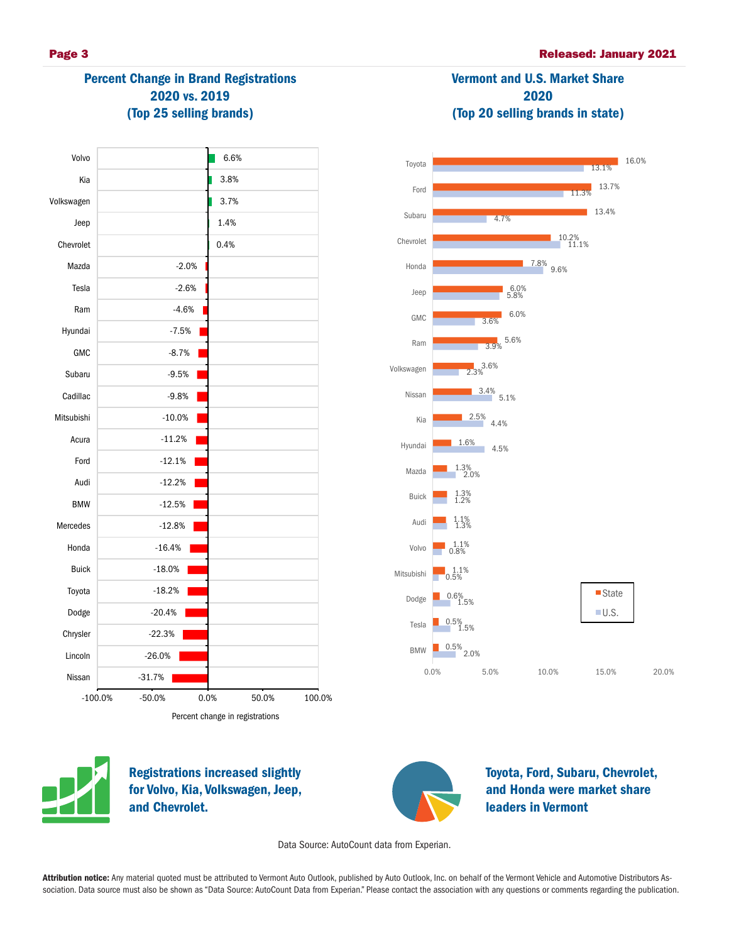## Percent Change in Brand Registrations 2020 vs. 2019 (Top 25 selling brands)

| Volvo        | 6.6%                                |
|--------------|-------------------------------------|
| Kia          | 3.8%                                |
| Volkswagen   | 3.7%                                |
| Jeep         | 1.4%                                |
| Chevrolet    | 0.4%                                |
| Mazda        | $-2.0%$                             |
| Tesla        | $-2.6%$                             |
| Ram          | $-4.6%$                             |
| Hyundai      | $-7.5%$                             |
| GMC          | $-8.7%$                             |
| Subaru       | $-9.5%$                             |
| Cadillac     | $-9.8%$                             |
| Mitsubishi   | $-10.0%$                            |
| Acura        | $-11.2%$                            |
| Ford         | $-12.1%$                            |
| Audi         | $-12.2%$                            |
| <b>BMW</b>   | $-12.5%$                            |
| Mercedes     | $-12.8%$                            |
| Honda        | $-16.4%$                            |
| <b>Buick</b> | $-18.0%$                            |
| Toyota       | $-18.2%$                            |
| Dodge        | $-20.4%$                            |
| Chrysler     | $-22.3%$                            |
| Lincoln      | $-26.0%$                            |
| Nissan       | $-31.7%$                            |
| $-100.0%$    | 0.0%<br>$-50.0%$<br>50.0%<br>100.0% |
|              | Percent change in registrations     |

# Vermont and U.S. Market Share 2020 (Top 20 selling brands in state) 11.3% 13.1% 13.7% 16.0%

Toyota





Registrations increased slightly for Volvo, Kia, Volkswagen, Jeep, and Chevrolet.



Toyota, Ford, Subaru, Chevrolet, and Honda were market share leaders in Vermont

Data Source: AutoCount data from Experian.

Attribution notice: Any material quoted must be attributed to Vermont Auto Outlook, published by Auto Outlook, Inc. on behalf of the Vermont Vehicle and Automotive Distributors Association. Data source must also be shown as "Data Source: AutoCount Data from Experian." Please contact the association with any questions or comments regarding the publication.